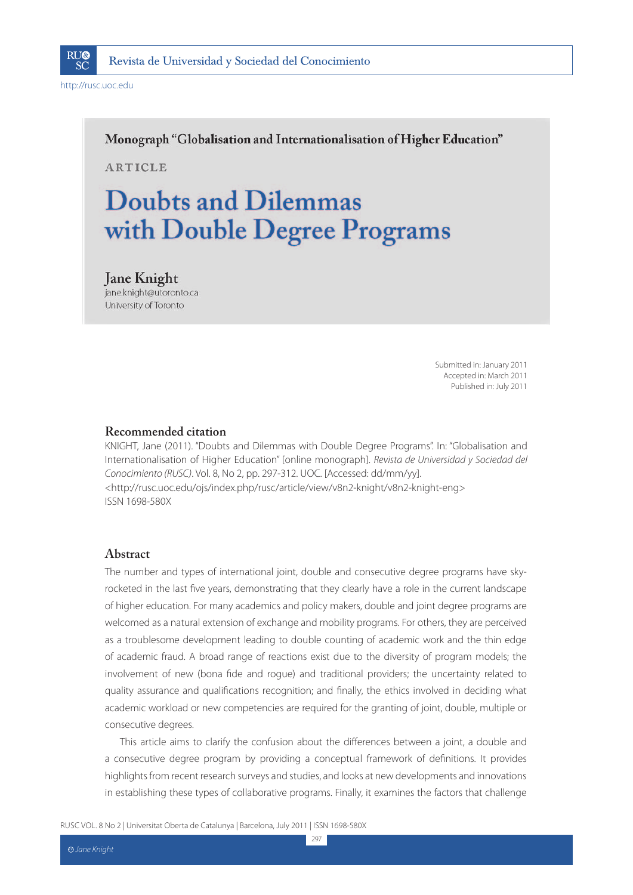

Monograph "Globalisation and Internationalisation of Higher Education"

**ARTICLE** 

# **Doubts and Dilemmas** with Double Degree Programs

### **Jane Knight**

jane.knight@utoronto.ca University of Toronto

> Submitted in: January 2011 Accepted in: March 2011 Published in: July 2011

#### **Recommended citation**

KNIGHT, Jane (2011). "Doubts and Dilemmas with Double Degree Programs". In: "Globalisation and Internationalisation of Higher Education" [online monograph]. Revista de Universidad y Sociedad del Conocimiento (RUSC). Vol. 8, No 2, pp. 297-312. UOC. [Accessed: dd/mm/yy]. <http://rusc.uoc.edu/ojs/index.php/rusc/article/view/v8n2-knight/v8n2-knight-eng> ISSN 1698-580X

#### **Abstract**

The number and types of international joint, double and consecutive degree programs have skyrocketed in the last five years, demonstrating that they clearly have a role in the current landscape of higher education. For many academics and policy makers, double and joint degree programs are welcomed as a natural extension of exchange and mobility programs. For others, they are perceived as a troublesome development leading to double counting of academic work and the thin edge of academic fraud. A broad range of reactions exist due to the diversity of program models; the involvement of new (bona fide and rogue) and traditional providers; the uncertainty related to quality assurance and qualifications recognition; and finally, the ethics involved in deciding what academic workload or new competencies are required for the granting of joint, double, multiple or consecutive degrees.

This article aims to clarify the confusion about the differences between a joint, a double and a consecutive degree program by providing a conceptual framework of definitions. It provides highlights from recent research surveys and studies, and looks at new developments and innovations in establishing these types of collaborative programs. Finally, it examines the factors that challenge

297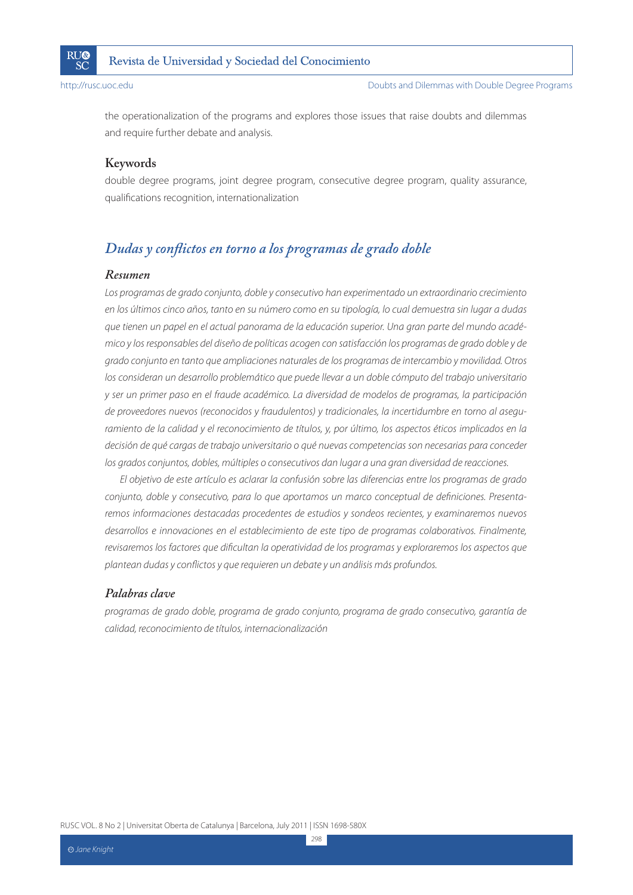

the operationalization of the programs and explores those issues that raise doubts and dilemmas and require further debate and analysis.

### **Keywords**

double degree programs, joint degree program, consecutive degree program, quality assurance, qualifications recognition, internationalization

# *Dudas y conflictos en torno a los programas de grado doble*

#### *Resumen*

Los programas de grado conjunto, doble y consecutivo han experimentado un extraordinario crecimiento en los últimos cinco años, tanto en su número como en su tipología, lo cual demuestra sin lugar a dudas que tienen un papel en el actual panorama de la educación superior. Una gran parte del mundo académico y los responsables del diseño de políticas acogen con satisfacción los programas de grado doble y de grado conjunto en tanto que ampliaciones naturales de los programas de intercambio y movilidad. Otros los consideran un desarrollo problemático que puede llevar a un doble cómputo del trabajo universitario y ser un primer paso en el fraude académico. La diversidad de modelos de programas, la participación de proveedores nuevos (reconocidos y fraudulentos) y tradicionales, la incertidumbre en torno al aseguramiento de la calidad y el reconocimiento de títulos, y, por último, los aspectos éticos implicados en la decisión de qué cargas de trabajo universitario o qué nuevas competencias son necesarias para conceder los grados conjuntos, dobles, múltiples o consecutivos dan lugar a una gran diversidad de reacciones.

El objetivo de este artículo es aclarar la confusión sobre las diferencias entre los programas de grado conjunto, doble y consecutivo, para lo que aportamos un marco conceptual de definiciones. Presentaremos informaciones destacadas procedentes de estudios y sondeos recientes, y examinaremos nuevos desarrollos e innovaciones en el establecimiento de este tipo de programas colaborativos. Finalmente, revisaremos los factores que dificultan la operatividad de los programas y exploraremos los aspectos que plantean dudas y conflictos y que requieren un debate y un análisis más profundos.

#### *Palabras clave*

programas de grado doble, programa de grado conjunto, programa de grado consecutivo, garantía de calidad, reconocimiento de títulos, internacionalización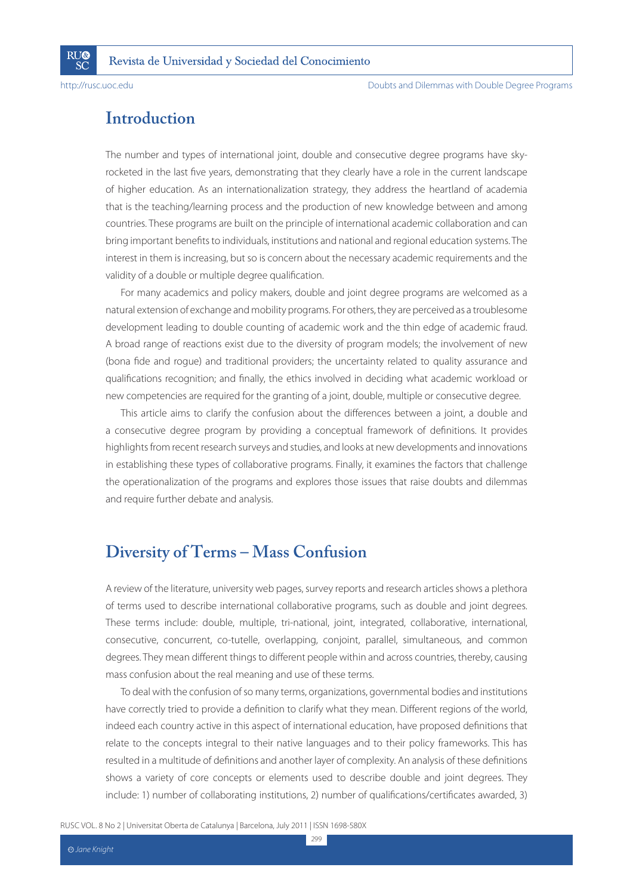**RI**I®

SČ

# **Introduction**

The number and types of international joint, double and consecutive degree programs have skyrocketed in the last five years, demonstrating that they clearly have a role in the current landscape of higher education. As an internationalization strategy, they address the heartland of academia that is the teaching/learning process and the production of new knowledge between and among countries. These programs are built on the principle of international academic collaboration and can bring important benefits to individuals, institutions and national and regional education systems. The interest in them is increasing, but so is concern about the necessary academic requirements and the validity of a double or multiple degree qualification.

For many academics and policy makers, double and joint degree programs are welcomed as a natural extension of exchange and mobility programs. For others, they are perceived as a troublesome development leading to double counting of academic work and the thin edge of academic fraud. A broad range of reactions exist due to the diversity of program models; the involvement of new (bona fide and rogue) and traditional providers; the uncertainty related to quality assurance and qualifications recognition; and finally, the ethics involved in deciding what academic workload or new competencies are required for the granting of a joint, double, multiple or consecutive degree.

This article aims to clarify the confusion about the differences between a joint, a double and a consecutive degree program by providing a conceptual framework of definitions. It provides highlights from recent research surveys and studies, and looks at new developments and innovations in establishing these types of collaborative programs. Finally, it examines the factors that challenge the operationalization of the programs and explores those issues that raise doubts and dilemmas and require further debate and analysis.

# **Diversity of Terms – Mass Confusion**

A review of the literature, university web pages, survey reports and research articles shows a plethora of terms used to describe international collaborative programs, such as double and joint degrees. These terms include: double, multiple, tri-national, joint, integrated, collaborative, international, consecutive, concurrent, co-tutelle, overlapping, conjoint, parallel, simultaneous, and common degrees. They mean different things to different people within and across countries, thereby, causing mass confusion about the real meaning and use of these terms.

To deal with the confusion of so many terms, organizations, governmental bodies and institutions have correctly tried to provide a definition to clarify what they mean. Different regions of the world, indeed each country active in this aspect of international education, have proposed definitions that relate to the concepts integral to their native languages and to their policy frameworks. This has resulted in a multitude of definitions and another layer of complexity. An analysis of these definitions shows a variety of core concepts or elements used to describe double and joint degrees. They include: 1) number of collaborating institutions, 2) number of qualifications/certificates awarded, 3)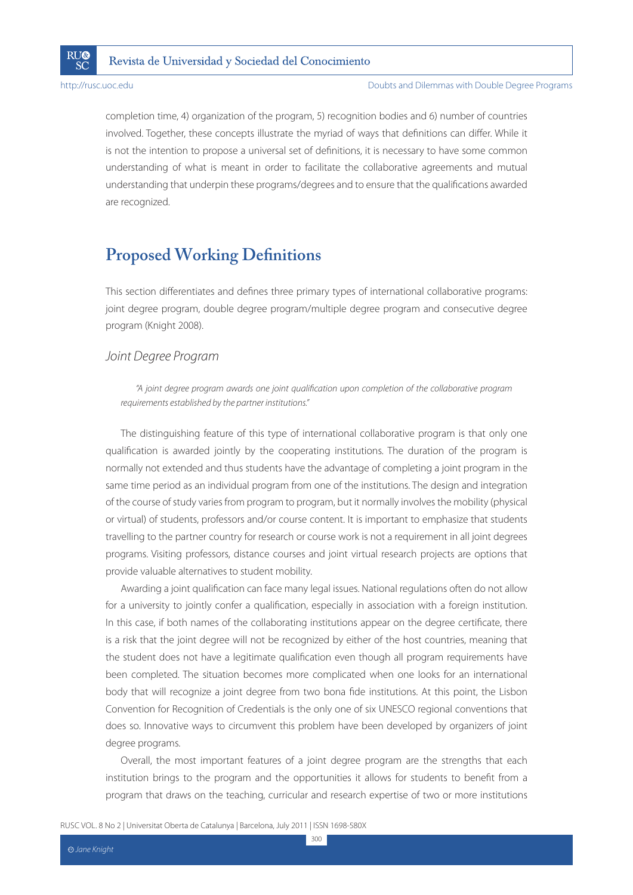

completion time, 4) organization of the program, 5) recognition bodies and 6) number of countries involved. Together, these concepts illustrate the myriad of ways that definitions can differ. While it is not the intention to propose a universal set of definitions, it is necessary to have some common understanding of what is meant in order to facilitate the collaborative agreements and mutual understanding that underpin these programs/degrees and to ensure that the qualifications awarded are recognized.

# **Proposed Working Definitions**

This section differentiates and defines three primary types of international collaborative programs: joint degree program, double degree program/multiple degree program and consecutive degree program (Knight 2008).

### Joint Degree Program

"A joint degree program awards one joint qualification upon completion of the collaborative program requirements established by the partner institutions."

The distinguishing feature of this type of international collaborative program is that only one qualification is awarded jointly by the cooperating institutions. The duration of the program is normally not extended and thus students have the advantage of completing a joint program in the same time period as an individual program from one of the institutions. The design and integration of the course of study varies from program to program, but it normally involves the mobility (physical or virtual) of students, professors and/or course content. It is important to emphasize that students travelling to the partner country for research or course work is not a requirement in all joint degrees programs. Visiting professors, distance courses and joint virtual research projects are options that provide valuable alternatives to student mobility.

Awarding a joint qualification can face many legal issues. National regulations often do not allow for a university to jointly confer a qualification, especially in association with a foreign institution. In this case, if both names of the collaborating institutions appear on the degree certificate, there is a risk that the joint degree will not be recognized by either of the host countries, meaning that the student does not have a legitimate qualification even though all program requirements have been completed. The situation becomes more complicated when one looks for an international body that will recognize a joint degree from two bona fide institutions. At this point, the Lisbon Convention for Recognition of Credentials is the only one of six UNESCO regional conventions that does so. Innovative ways to circumvent this problem have been developed by organizers of joint degree programs.

Overall, the most important features of a joint degree program are the strengths that each institution brings to the program and the opportunities it allows for students to benefit from a program that draws on the teaching, curricular and research expertise of two or more institutions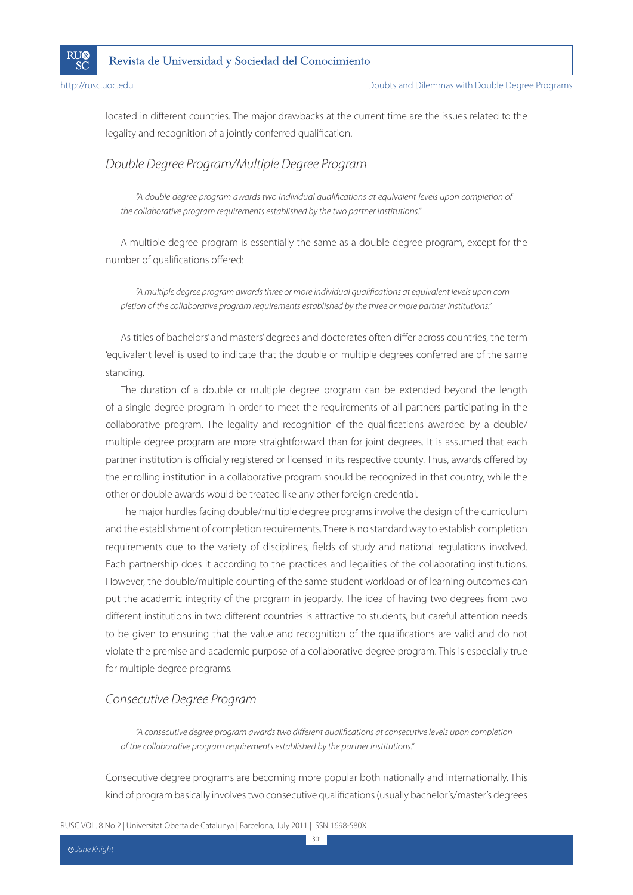

located in different countries. The major drawbacks at the current time are the issues related to the legality and recognition of a jointly conferred qualification.

### Double Degree Program/Multiple Degree Program

"A double degree program awards two individual qualifications at equivalent levels upon completion of the collaborative program requirements established by the two partner institutions."

A multiple degree program is essentially the same as a double degree program, except for the number of qualifications offered:

"A multiple degree program awards three or more individual qualifications at equivalent levels upon completion of the collaborative program requirements established by the three or more partner institutions."

As titles of bachelors' and masters' degrees and doctorates often differ across countries, the term 'equivalent level' is used to indicate that the double or multiple degrees conferred are of the same standing.

The duration of a double or multiple degree program can be extended beyond the length of a single degree program in order to meet the requirements of all partners participating in the collaborative program. The legality and recognition of the qualifications awarded by a double/ multiple degree program are more straightforward than for joint degrees. It is assumed that each partner institution is officially registered or licensed in its respective county. Thus, awards offered by the enrolling institution in a collaborative program should be recognized in that country, while the other or double awards would be treated like any other foreign credential.

The major hurdles facing double/multiple degree programs involve the design of the curriculum and the establishment of completion requirements. There is no standard way to establish completion requirements due to the variety of disciplines, fields of study and national regulations involved. Each partnership does it according to the practices and legalities of the collaborating institutions. However, the double/multiple counting of the same student workload or of learning outcomes can put the academic integrity of the program in jeopardy. The idea of having two degrees from two different institutions in two different countries is attractive to students, but careful attention needs to be given to ensuring that the value and recognition of the qualifications are valid and do not violate the premise and academic purpose of a collaborative degree program. This is especially true for multiple degree programs.

### Consecutive Degree Program

"A consecutive degree program awards two different qualifications at consecutive levels upon completion of the collaborative program requirements established by the partner institutions."

Consecutive degree programs are becoming more popular both nationally and internationally. This kind of program basically involves two consecutive qualifications (usually bachelor's/master's degrees

301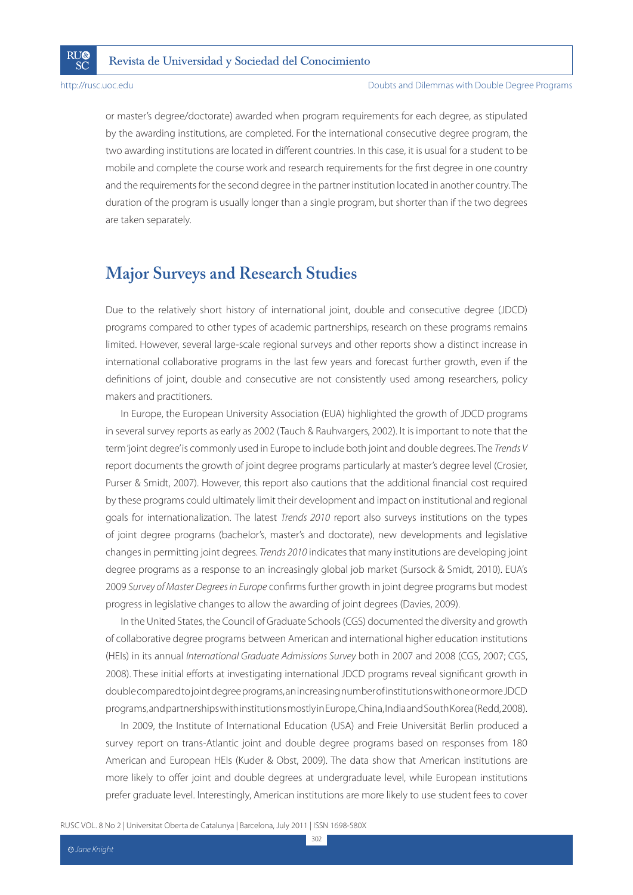**RU®** 

SČ

or master's degree/doctorate) awarded when program requirements for each degree, as stipulated by the awarding institutions, are completed. For the international consecutive degree program, the two awarding institutions are located in different countries. In this case, it is usual for a student to be mobile and complete the course work and research requirements for the first degree in one country and the requirements for the second degree in the partner institution located in another country. The duration of the program is usually longer than a single program, but shorter than if the two degrees are taken separately.

# **Major Surveys and Research Studies**

Due to the relatively short history of international joint, double and consecutive degree (JDCD) programs compared to other types of academic partnerships, research on these programs remains limited. However, several large-scale regional surveys and other reports show a distinct increase in international collaborative programs in the last few years and forecast further growth, even if the definitions of joint, double and consecutive are not consistently used among researchers, policy makers and practitioners.

In Europe, the European University Association (EUA) highlighted the growth of JDCD programs in several survey reports as early as 2002 (Tauch & Rauhvargers, 2002). It is important to note that the term 'joint degree' is commonly used in Europe to include both joint and double degrees. The Trends V report documents the growth of joint degree programs particularly at master's degree level (Crosier, Purser & Smidt, 2007). However, this report also cautions that the additional financial cost required by these programs could ultimately limit their development and impact on institutional and regional goals for internationalization. The latest Trends 2010 report also surveys institutions on the types of joint degree programs (bachelor's, master's and doctorate), new developments and legislative changes in permitting joint degrees. Trends 2010 indicates that many institutions are developing joint degree programs as a response to an increasingly global job market (Sursock & Smidt, 2010). EUA's 2009 Survey of Master Degrees in Europe confirms further growth in joint degree programs but modest progress in legislative changes to allow the awarding of joint degrees (Davies, 2009).

In the United States, the Council of Graduate Schools (CGS) documented the diversity and growth of collaborative degree programs between American and international higher education institutions (HEIs) in its annual International Graduate Admissions Survey both in 2007 and 2008 (CGS, 2007; CGS, 2008). These initial efforts at investigating international JDCD programs reveal significant growth in double compared to joint degree programs, an increasing number of institutions with one or more JDCD programs, and partnerships with institutions mostly in Europe, China, India and South Korea (Redd, 2008).

In 2009, the Institute of International Education (USA) and Freie Universität Berlin produced a survey report on trans-Atlantic joint and double degree programs based on responses from 180 American and European HEIs (Kuder & Obst, 2009). The data show that American institutions are more likely to offer joint and double degrees at undergraduate level, while European institutions prefer graduate level. Interestingly, American institutions are more likely to use student fees to cover

RUSC VOL. 8 No 2 | Universitat Oberta de Catalunya | Barcelona, July 2011 | ISSN 1698-580X

302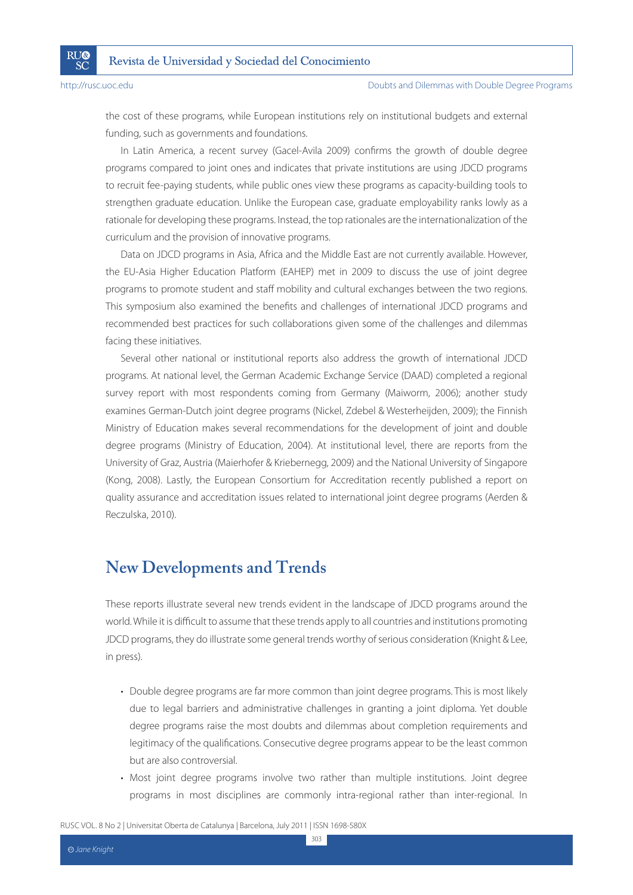**RU®** 

SČ

the cost of these programs, while European institutions rely on institutional budgets and external funding, such as governments and foundations.

In Latin America, a recent survey (Gacel-Avila 2009) confirms the growth of double degree programs compared to joint ones and indicates that private institutions are using JDCD programs to recruit fee-paying students, while public ones view these programs as capacity-building tools to strengthen graduate education. Unlike the European case, graduate employability ranks lowly as a rationale for developing these programs. Instead, the top rationales are the internationalization of the curriculum and the provision of innovative programs.

Data on JDCD programs in Asia, Africa and the Middle East are not currently available. However, the EU-Asia Higher Education Platform (EAHEP) met in 2009 to discuss the use of joint degree programs to promote student and staff mobility and cultural exchanges between the two regions. This symposium also examined the benefits and challenges of international JDCD programs and recommended best practices for such collaborations given some of the challenges and dilemmas facing these initiatives.

Several other national or institutional reports also address the growth of international JDCD programs. At national level, the German Academic Exchange Service (DAAD) completed a regional survey report with most respondents coming from Germany (Maiworm, 2006); another study examines German-Dutch joint degree programs (Nickel, Zdebel & Westerheijden, 2009); the Finnish Ministry of Education makes several recommendations for the development of joint and double degree programs (Ministry of Education, 2004). At institutional level, there are reports from the University of Graz, Austria (Maierhofer & Kriebernegg, 2009) and the National University of Singapore (Kong, 2008). Lastly, the European Consortium for Accreditation recently published a report on quality assurance and accreditation issues related to international joint degree programs (Aerden & Reczulska, 2010).

# **New Developments and Trends**

These reports illustrate several new trends evident in the landscape of JDCD programs around the world. While it is difficult to assume that these trends apply to all countries and institutions promoting JDCD programs, they do illustrate some general trends worthy of serious consideration (Knight & Lee, in press).

- Double degree programs are far more common than joint degree programs. This is most likely due to legal barriers and administrative challenges in granting a joint diploma. Yet double degree programs raise the most doubts and dilemmas about completion requirements and legitimacy of the qualifications. Consecutive degree programs appear to be the least common but are also controversial.
- Most joint degree programs involve two rather than multiple institutions. Joint degree programs in most disciplines are commonly intra-regional rather than inter-regional. In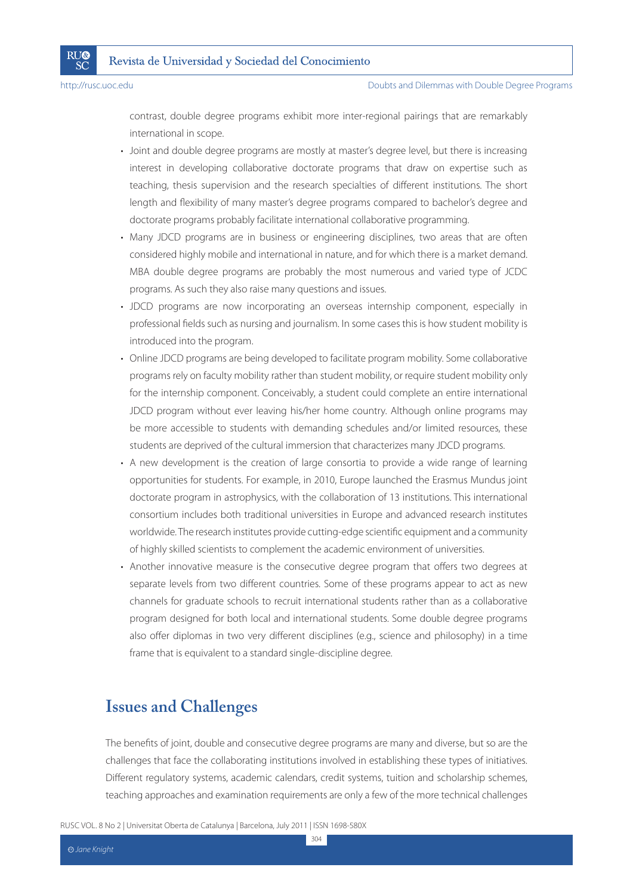**RU®** 

SČ

contrast, double degree programs exhibit more inter-regional pairings that are remarkably international in scope.

- Joint and double degree programs are mostly at master's degree level, but there is increasing interest in developing collaborative doctorate programs that draw on expertise such as teaching, thesis supervision and the research specialties of different institutions. The short length and flexibility of many master's degree programs compared to bachelor's degree and doctorate programs probably facilitate international collaborative programming.
- Many JDCD programs are in business or engineering disciplines, two areas that are often considered highly mobile and international in nature, and for which there is a market demand. MBA double degree programs are probably the most numerous and varied type of JCDC programs. As such they also raise many questions and issues.
- JDCD programs are now incorporating an overseas internship component, especially in professional fields such as nursing and journalism. In some cases this is how student mobility is introduced into the program.
- Online JDCD programs are being developed to facilitate program mobility. Some collaborative programs rely on faculty mobility rather than student mobility, or require student mobility only for the internship component. Conceivably, a student could complete an entire international JDCD program without ever leaving his/her home country. Although online programs may be more accessible to students with demanding schedules and/or limited resources, these students are deprived of the cultural immersion that characterizes many JDCD programs.
- A new development is the creation of large consortia to provide a wide range of learning opportunities for students. For example, in 2010, Europe launched the Erasmus Mundus joint doctorate program in astrophysics, with the collaboration of 13 institutions. This international consortium includes both traditional universities in Europe and advanced research institutes worldwide. The research institutes provide cutting-edge scientific equipment and a community of highly skilled scientists to complement the academic environment of universities.
- Another innovative measure is the consecutive degree program that offers two degrees at separate levels from two different countries. Some of these programs appear to act as new channels for graduate schools to recruit international students rather than as a collaborative program designed for both local and international students. Some double degree programs also offer diplomas in two very different disciplines (e.g., science and philosophy) in a time frame that is equivalent to a standard single-discipline degree.

# **Issues and Challenges**

The benefits of joint, double and consecutive degree programs are many and diverse, but so are the challenges that face the collaborating institutions involved in establishing these types of initiatives. Different regulatory systems, academic calendars, credit systems, tuition and scholarship schemes, teaching approaches and examination requirements are only a few of the more technical challenges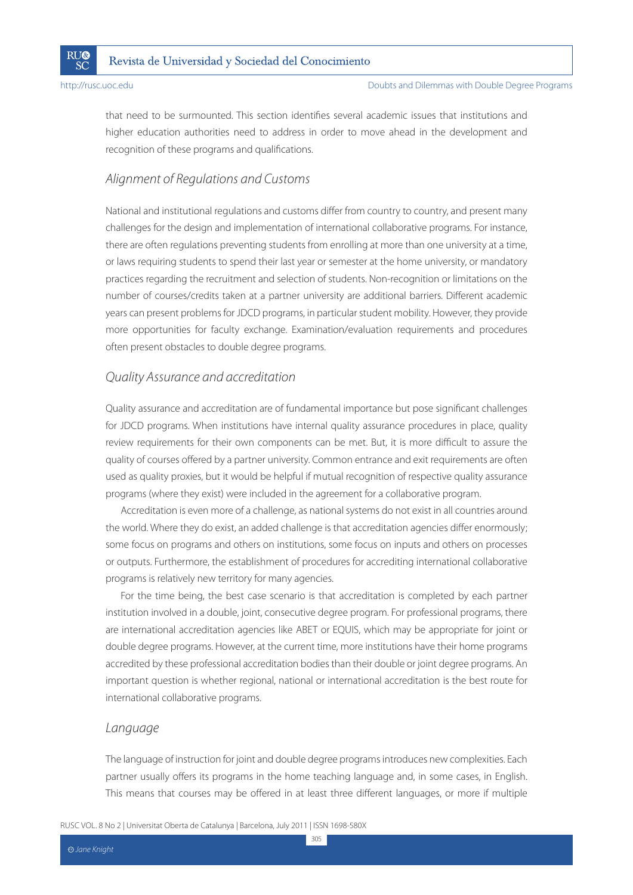

that need to be surmounted. This section identifies several academic issues that institutions and higher education authorities need to address in order to move ahead in the development and recognition of these programs and qualifications.

# Alignment of Regulations and Customs

National and institutional regulations and customs differ from country to country, and present many challenges for the design and implementation of international collaborative programs. For instance, there are often regulations preventing students from enrolling at more than one university at a time, or laws requiring students to spend their last year or semester at the home university, or mandatory practices regarding the recruitment and selection of students. Non-recognition or limitations on the number of courses/credits taken at a partner university are additional barriers. Different academic years can present problems for JDCD programs, in particular student mobility. However, they provide more opportunities for faculty exchange. Examination/evaluation requirements and procedures often present obstacles to double degree programs.

## Quality Assurance and accreditation

Quality assurance and accreditation are of fundamental importance but pose significant challenges for JDCD programs. When institutions have internal quality assurance procedures in place, quality review requirements for their own components can be met. But, it is more difficult to assure the quality of courses offered by a partner university. Common entrance and exit requirements are often used as quality proxies, but it would be helpful if mutual recognition of respective quality assurance programs (where they exist) were included in the agreement for a collaborative program.

Accreditation is even more of a challenge, as national systems do not exist in all countries around the world. Where they do exist, an added challenge is that accreditation agencies differ enormously; some focus on programs and others on institutions, some focus on inputs and others on processes or outputs. Furthermore, the establishment of procedures for accrediting international collaborative programs is relatively new territory for many agencies.

For the time being, the best case scenario is that accreditation is completed by each partner institution involved in a double, joint, consecutive degree program. For professional programs, there are international accreditation agencies like ABET or EQUIS, which may be appropriate for joint or double degree programs. However, at the current time, more institutions have their home programs accredited by these professional accreditation bodies than their double or joint degree programs. An important question is whether regional, national or international accreditation is the best route for international collaborative programs.

### Language

The language of instruction for joint and double degree programs introduces new complexities. Each partner usually offers its programs in the home teaching language and, in some cases, in English. This means that courses may be offered in at least three different languages, or more if multiple

305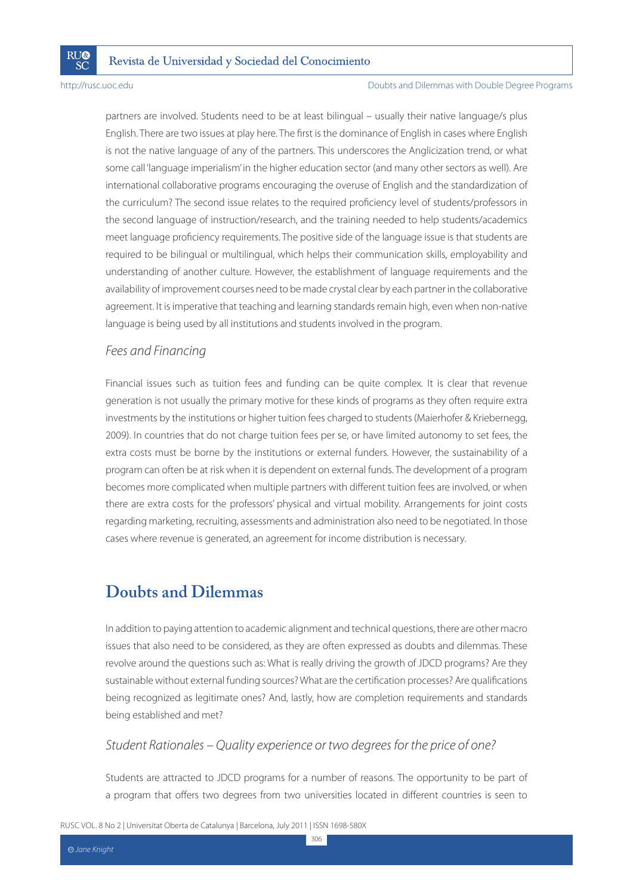**RU®** 

SČ

#### Doubts and Dilemmas with Double Degree Programs

partners are involved. Students need to be at least bilingual – usually their native language/s plus English. There are two issues at play here. The first is the dominance of English in cases where English is not the native language of any of the partners. This underscores the Anglicization trend, or what some call 'language imperialism' in the higher education sector (and many other sectors as well). Are international collaborative programs encouraging the overuse of English and the standardization of the curriculum? The second issue relates to the required proficiency level of students/professors in the second language of instruction/research, and the training needed to help students/academics meet language proficiency requirements. The positive side of the language issue is that students are required to be bilingual or multilingual, which helps their communication skills, employability and understanding of another culture. However, the establishment of language requirements and the availability of improvement courses need to be made crystal clear by each partner in the collaborative agreement. It is imperative that teaching and learning standards remain high, even when non-native language is being used by all institutions and students involved in the program.

#### Fees and Financing

Financial issues such as tuition fees and funding can be quite complex. It is clear that revenue generation is not usually the primary motive for these kinds of programs as they often require extra investments by the institutions or higher tuition fees charged to students (Maierhofer & Kriebernegg, 2009). In countries that do not charge tuition fees per se, or have limited autonomy to set fees, the extra costs must be borne by the institutions or external funders. However, the sustainability of a program can often be at risk when it is dependent on external funds. The development of a program becomes more complicated when multiple partners with different tuition fees are involved, or when there are extra costs for the professors' physical and virtual mobility. Arrangements for joint costs regarding marketing, recruiting, assessments and administration also need to be negotiated. In those cases where revenue is generated, an agreement for income distribution is necessary.

# **Doubts and Dilemmas**

In addition to paying attention to academic alignment and technical questions, there are other macro issues that also need to be considered, as they are often expressed as doubts and dilemmas. These revolve around the questions such as: What is really driving the growth of JDCD programs? Are they sustainable without external funding sources? What are the certification processes? Are qualifications being recognized as legitimate ones? And, lastly, how are completion requirements and standards being established and met?

#### Student Rationales – Quality experience or two degrees for the price of one?

Students are attracted to JDCD programs for a number of reasons. The opportunity to be part of a program that offers two degrees from two universities located in different countries is seen to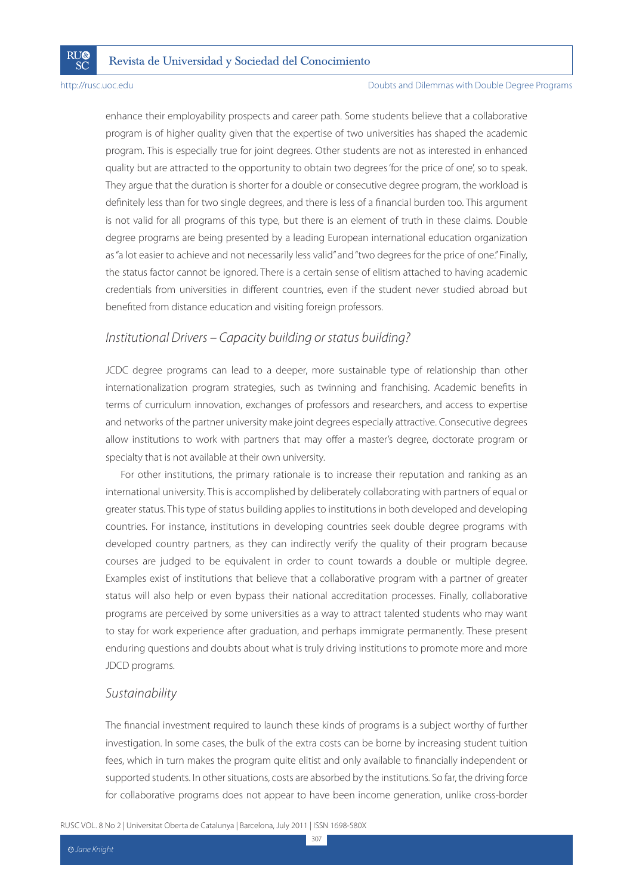**RU®** 

SČ

#### Doubts and Dilemmas with Double Degree Programs

enhance their employability prospects and career path. Some students believe that a collaborative program is of higher quality given that the expertise of two universities has shaped the academic program. This is especially true for joint degrees. Other students are not as interested in enhanced quality but are attracted to the opportunity to obtain two degrees 'for the price of one', so to speak. They argue that the duration is shorter for a double or consecutive degree program, the workload is definitely less than for two single degrees, and there is less of a financial burden too. This argument is not valid for all programs of this type, but there is an element of truth in these claims. Double degree programs are being presented by a leading European international education organization as "a lot easier to achieve and not necessarily less valid" and "two degrees for the price of one." Finally, the status factor cannot be ignored. There is a certain sense of elitism attached to having academic credentials from universities in different countries, even if the student never studied abroad but benefited from distance education and visiting foreign professors.

### Institutional Drivers – Capacity building or status building?

JCDC degree programs can lead to a deeper, more sustainable type of relationship than other internationalization program strategies, such as twinning and franchising. Academic benefits in terms of curriculum innovation, exchanges of professors and researchers, and access to expertise and networks of the partner university make joint degrees especially attractive. Consecutive degrees allow institutions to work with partners that may offer a master's degree, doctorate program or specialty that is not available at their own university.

For other institutions, the primary rationale is to increase their reputation and ranking as an international university. This is accomplished by deliberately collaborating with partners of equal or greater status. This type of status building applies to institutions in both developed and developing countries. For instance, institutions in developing countries seek double degree programs with developed country partners, as they can indirectly verify the quality of their program because courses are judged to be equivalent in order to count towards a double or multiple degree. Examples exist of institutions that believe that a collaborative program with a partner of greater status will also help or even bypass their national accreditation processes. Finally, collaborative programs are perceived by some universities as a way to attract talented students who may want to stay for work experience after graduation, and perhaps immigrate permanently. These present enduring questions and doubts about what is truly driving institutions to promote more and more JDCD programs.

### Sustainability

The financial investment required to launch these kinds of programs is a subject worthy of further investigation. In some cases, the bulk of the extra costs can be borne by increasing student tuition fees, which in turn makes the program quite elitist and only available to financially independent or supported students. In other situations, costs are absorbed by the institutions. So far, the driving force for collaborative programs does not appear to have been income generation, unlike cross-border

RUSC VOL. 8 No 2 | Universitat Oberta de Catalunya | Barcelona, July 2011 | ISSN 1698-580X

307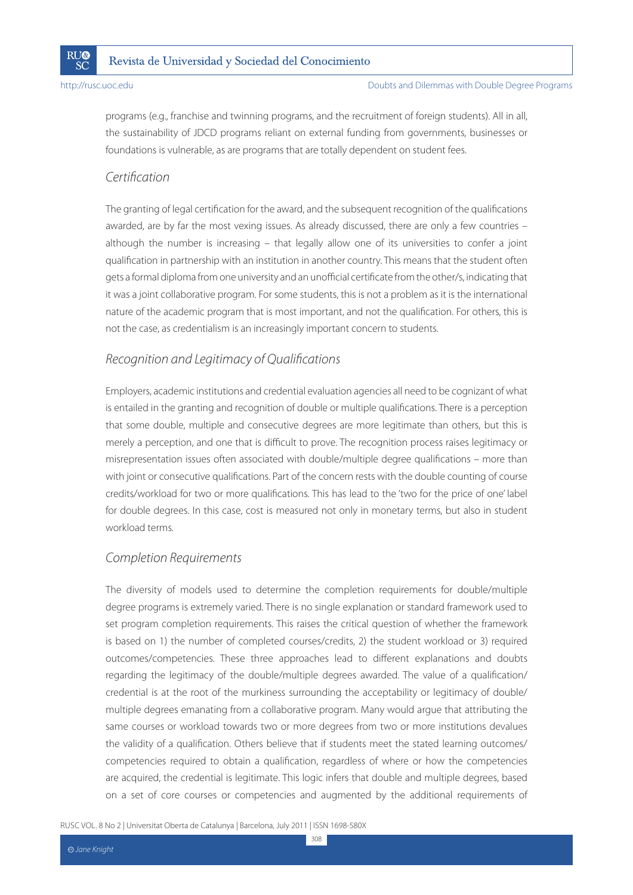

programs (e.g., franchise and twinning programs, and the recruitment of foreign students). All in all, the sustainability of JDCD programs reliant on external funding from governments, businesses or foundations is vulnerable, as are programs that are totally dependent on student fees.

# Certification

The granting of legal certification for the award, and the subsequent recognition of the qualifications awarded, are by far the most vexing issues. As already discussed, there are only a few countries – although the number is increasing – that legally allow one of its universities to confer a joint qualification in partnership with an institution in another country. This means that the student often gets a formal diploma from one university and an unofficial certificate from the other/s, indicating that it was a joint collaborative program. For some students, this is not a problem as it is the international nature of the academic program that is most important, and not the qualification. For others, this is not the case, as credentialism is an increasingly important concern to students.

# Recognition and Legitimacy of Qualifications

Employers, academic institutions and credential evaluation agencies all need to be cognizant of what is entailed in the granting and recognition of double or multiple qualifications. There is a perception that some double, multiple and consecutive degrees are more legitimate than others, but this is merely a perception, and one that is difficult to prove. The recognition process raises legitimacy or misrepresentation issues often associated with double/multiple degree qualifications – more than with joint or consecutive qualifications. Part of the concern rests with the double counting of course credits/workload for two or more qualifications. This has lead to the 'two for the price of one' label for double degrees. In this case, cost is measured not only in monetary terms, but also in student workload terms.

## Completion Requirements

The diversity of models used to determine the completion requirements for double/multiple degree programs is extremely varied. There is no single explanation or standard framework used to set program completion requirements. This raises the critical question of whether the framework is based on 1) the number of completed courses/credits, 2) the student workload or 3) required outcomes/competencies. These three approaches lead to different explanations and doubts regarding the legitimacy of the double/multiple degrees awarded. The value of a qualification/ credential is at the root of the murkiness surrounding the acceptability or legitimacy of double/ multiple degrees emanating from a collaborative program. Many would argue that attributing the same courses or workload towards two or more degrees from two or more institutions devalues the validity of a qualification. Others believe that if students meet the stated learning outcomes/ competencies required to obtain a qualification, regardless of where or how the competencies are acquired, the credential is legitimate. This logic infers that double and multiple degrees, based on a set of core courses or competencies and augmented by the additional requirements of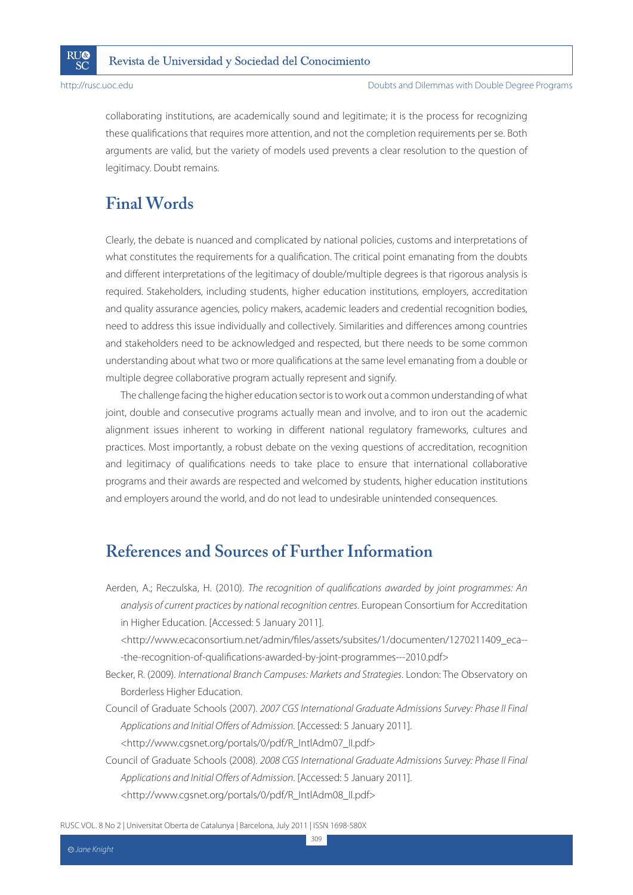

collaborating institutions, are academically sound and legitimate; it is the process for recognizing these qualifications that requires more attention, and not the completion requirements per se. Both arguments are valid, but the variety of models used prevents a clear resolution to the question of legitimacy. Doubt remains.

# **Final Words**

Clearly, the debate is nuanced and complicated by national policies, customs and interpretations of what constitutes the requirements for a qualification. The critical point emanating from the doubts and different interpretations of the legitimacy of double/multiple degrees is that rigorous analysis is required. Stakeholders, including students, higher education institutions, employers, accreditation and quality assurance agencies, policy makers, academic leaders and credential recognition bodies, need to address this issue individually and collectively. Similarities and differences among countries and stakeholders need to be acknowledged and respected, but there needs to be some common understanding about what two or more qualifications at the same level emanating from a double or multiple degree collaborative program actually represent and signify.

The challenge facing the higher education sector is to work out a common understanding of what joint, double and consecutive programs actually mean and involve, and to iron out the academic alignment issues inherent to working in different national regulatory frameworks, cultures and practices. Most importantly, a robust debate on the vexing questions of accreditation, recognition and legitimacy of qualifications needs to take place to ensure that international collaborative programs and their awards are respected and welcomed by students, higher education institutions and employers around the world, and do not lead to undesirable unintended consequences.

# **References and Sources of Further Information**

Aerden, A.; Reczulska, H. (2010). The recognition of qualifications awarded by joint programmes: An analysis of current practices by national recognition centres. European Consortium for Accreditation in Higher Education. [Accessed: 5 January 2011].

 <http://www.ecaconsortium.net/admin/files/assets/subsites/1/documenten/1270211409\_eca-- -the-recognition-of-qualifications-awarded-by-joint-programmes---2010.pdf>

Becker, R. (2009). International Branch Campuses: Markets and Strategies. London: The Observatory on Borderless Higher Education.

Council of Graduate Schools (2007). 2007 CGS International Graduate Admissions Survey: Phase II Final Applications and Initial Offers of Admission. [Accessed: 5 January 2011]. <http://www.cgsnet.org/portals/0/pdf/R\_IntlAdm07\_II.pdf>

Council of Graduate Schools (2008). 2008 CGS International Graduate Admissions Survey: Phase II Final Applications and Initial Offers of Admission. [Accessed: 5 January 2011]. <http://www.cgsnet.org/portals/0/pdf/R\_IntlAdm08\_II.pdf>

309

RUSC VOL. 8 No 2 | Universitat Oberta de Catalunya | Barcelona, July 2011 | ISSN 1698-580X

Jane Knight **CC**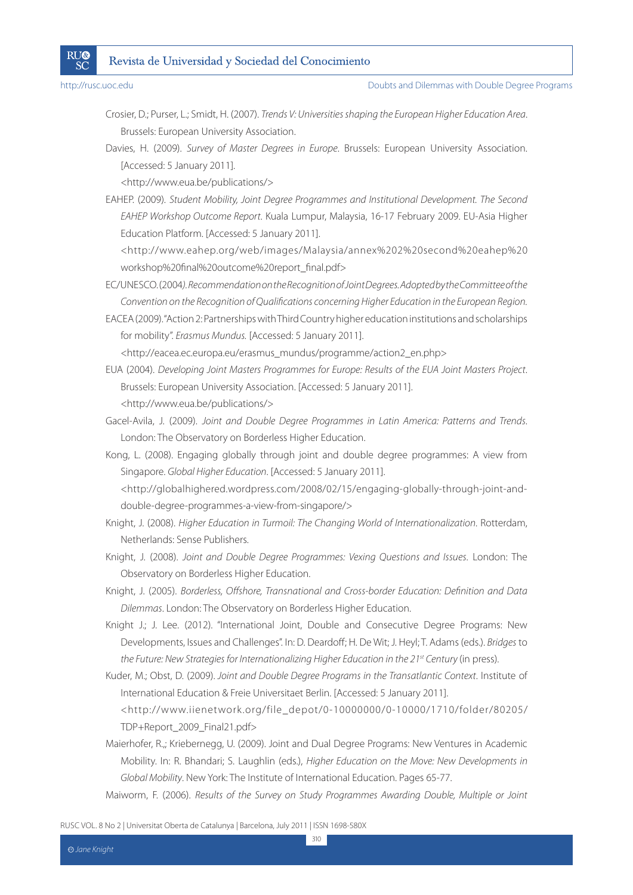

- Crosier, D.; Purser, L.; Smidt, H. (2007). Trends V: Universities shaping the European Higher Education Area. Brussels: European University Association.
- Davies, H. (2009). Survey of Master Degrees in Europe. Brussels: European University Association. [Accessed: 5 January 2011].

<http://www.eua.be/publications/>

EAHEP. (2009). Student Mobility, Joint Degree Programmes and Institutional Development. The Second EAHEP Workshop Outcome Report. Kuala Lumpur, Malaysia, 16-17 February 2009. EU-Asia Higher Education Platform. [Accessed: 5 January 2011].

 <http://www.eahep.org/web/images/Malaysia/annex%202%20second%20eahep%20 workshop%20final%20outcome%20report\_final.pdf>

- EC/UNESCO. (2004). Recommendation on the Recognition of Joint Degrees. Adopted by the Committee of the Convention on the Recognition of Qualifications concerning Higher Education in the European Region.
- EACEA (2009). "Action 2: Partnerships with Third Country higher education institutions and scholarships for mobility". Erasmus Mundus. [Accessed: 5 January 2011].

<http://eacea.ec.europa.eu/erasmus\_mundus/programme/action2\_en.php>

- EUA (2004). Developing Joint Masters Programmes for Europe: Results of the EUA Joint Masters Project. Brussels: European University Association. [Accessed: 5 January 2011]. <http://www.eua.be/publications/>
- Gacel-Avila, J. (2009). Joint and Double Degree Programmes in Latin America: Patterns and Trends. London: The Observatory on Borderless Higher Education.
- Kong, L. (2008). Engaging globally through joint and double degree programmes: A view from Singapore. Global Higher Education. [Accessed: 5 January 2011].

 <http://globalhighered.wordpress.com/2008/02/15/engaging-globally-through-joint-anddouble-degree-programmes-a-view-from-singapore/>

- Knight, J. (2008). Higher Education in Turmoil: The Changing World of Internationalization. Rotterdam, Netherlands: Sense Publishers.
- Knight, J. (2008). Joint and Double Degree Programmes: Vexing Questions and Issues. London: The Observatory on Borderless Higher Education.
- Knight, J. (2005). Borderless, Offshore, Transnational and Cross-border Education: Definition and Data Dilemmas. London: The Observatory on Borderless Higher Education.
- Knight J.; J. Lee. (2012). "International Joint, Double and Consecutive Degree Programs: New Developments, Issues and Challenges". In: D. Deardoff; H. De Wit; J. Heyl; T. Adams (eds.). Bridges to the Future: New Strategies for Internationalizing Higher Education in the 21<sup>st</sup> Century (in press).
- Kuder, M.; Obst, D. (2009). Joint and Double Degree Programs in the Transatlantic Context. Institute of International Education & Freie Universitaet Berlin. [Accessed: 5 January 2011]. <http://www.iienetwork.org/file\_depot/0-10000000/0-10000/1710/folder/80205/ TDP+Report\_2009\_Final21.pdf>
- Maierhofer, R.,; Kriebernegg, U. (2009). Joint and Dual Degree Programs: New Ventures in Academic Mobility. In: R. Bhandari; S. Laughlin (eds.), Higher Education on the Move: New Developments in Global Mobility. New York: The Institute of International Education. Pages 65-77.
- Maiworm, F. (2006). Results of the Survey on Study Programmes Awarding Double, Multiple or Joint

RUSC VOL. 8 No 2 | Universitat Oberta de Catalunya | Barcelona, July 2011 | ISSN 1698-580X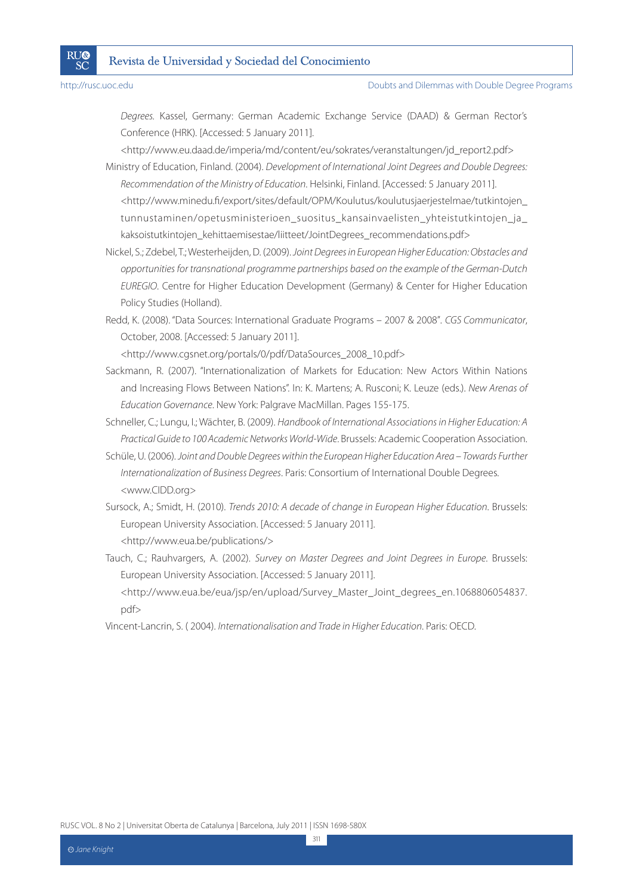**RU®** 

SČ

Degrees. Kassel, Germany: German Academic Exchange Service (DAAD) & German Rector's Conference (HRK). [Accessed: 5 January 2011].

 <http://www.eu.daad.de/imperia/md/content/eu/sokrates/veranstaltungen/jd\_report2.pdf> Ministry of Education, Finland. (2004). Development of International Joint Degrees and Double Degrees: Recommendation of the Ministry of Education. Helsinki, Finland. [Accessed: 5 January 2011]. <http://www.minedu.fi/export/sites/default/OPM/Koulutus/koulutusjaerjestelmae/tutkintojen\_ tunnustaminen/opetusministerioen\_suositus\_kansainvaelisten\_yhteistutkintojen\_ja\_

kaksoistutkintojen\_kehittaemisestae/liitteet/JointDegrees\_recommendations.pdf> Nickel, S.; Zdebel, T.; Westerheijden, D. (2009). Joint Degrees in European Higher Education: Obstacles and

opportunities for transnational programme partnerships based on the example of the German-Dutch EUREGIO. Centre for Higher Education Development (Germany) & Center for Higher Education Policy Studies (Holland).

Redd, K. (2008). "Data Sources: International Graduate Programs – 2007 & 2008". CGS Communicator, October, 2008. [Accessed: 5 January 2011].

<http://www.cgsnet.org/portals/0/pdf/DataSources\_2008\_10.pdf>

Sackmann, R. (2007). "Internationalization of Markets for Education: New Actors Within Nations and Increasing Flows Between Nations". In: K. Martens; A. Rusconi; K. Leuze (eds.). New Arenas of Education Governance. New York: Palgrave MacMillan. Pages 155-175.

Schneller, C.; Lungu, I.; Wächter, B. (2009). Handbook of International Associations in Higher Education: A Practical Guide to 100 Academic Networks World-Wide. Brussels: Academic Cooperation Association.

Schüle, U. (2006). Joint and Double Degrees within the European Higher Education Area – Towards Further Internationalization of Business Degrees. Paris: Consortium of International Double Degrees. <www.CIDD.org>

Sursock, A.; Smidt, H. (2010). Trends 2010: A decade of change in European Higher Education. Brussels: European University Association. [Accessed: 5 January 2011]. <http://www.eua.be/publications/>

Tauch, C.; Rauhvargers, A. (2002). Survey on Master Degrees and Joint Degrees in Europe. Brussels: European University Association. [Accessed: 5 January 2011]. <http://www.eua.be/eua/jsp/en/upload/Survey\_Master\_Joint\_degrees\_en.1068806054837.

pdf>

Vincent-Lancrin, S. ( 2004). Internationalisation and Trade in Higher Education. Paris: OECD.